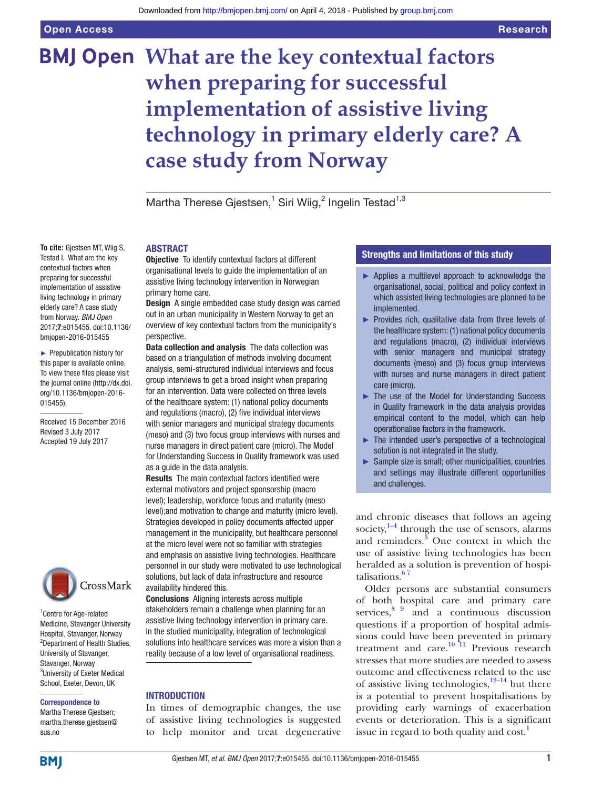# **BMJ Open What are the key contextual factors when preparing for successful implementation of assistive living technology in primary elderly care? A case study from Norway**

Martha Therese Gjestsen,<sup>1</sup> Siri Wiig,<sup>2</sup> Ingelin Testad<sup>1,3</sup>

#### **To cite:** Gjestsen MT, Wiig S, Testad I. What are the key contextual factors when preparing for successful implementation of assistive living technology in primary elderly care? A case study from Norway. *BMJ Open* 2017;7:e015455. doi:10.1136/ bmjopen-2016-015455

► Prepublication history for this paper is available online. To view these files please visit the journal online [\(http://dx.doi.](http://dx.doi.org/10.1136/bmjopen-2016-015455) [org/10.1136/bmjopen-2016-](http://dx.doi.org/10.1136/bmjopen-2016-015455) [015455\)](http://dx.doi.org/10.1136/bmjopen-2016-015455).

Received 15 December 2016 Revised 3 July 2017 Accepted 19 July 2017



<sup>1</sup> Centre for Age-related Medicine, Stavanger University Hospital, Stavanger, Norway 2 Department of Health Studies, University of Stavanger, Stavanger, Norway 3 University of Exeter Medical School, Exeter, Devon, UK

#### Correspondence to

Martha Therese Gjestsen; martha.therese.gjestsen@ sus.no

#### **ABSTRACT**

**Objective** To identify contextual factors at different organisational levels to guide the implementation of an assistive living technology intervention in Norwegian primary home care.

Design A single embedded case study design was carried out in an urban municipality in Western Norway to get an overview of key contextual factors from the municipality's perspective.

Data collection and analysis The data collection was based on a triangulation of methods involving document analysis, semi-structured individual interviews and focus group interviews to get a broad insight when preparing for an intervention. Data were collected on three levels of the healthcare system: (1) national policy documents and regulations (macro), (2) five individual interviews with senior managers and municipal strategy documents (meso) and (3) two focus group interviews with nurses and nurse managers in direct patient care (micro). The Model for Understanding Success in Quality framework was used as a guide in the data analysis.

Results The main contextual factors identified were external motivators and project sponsorship (macro level); leadership, workforce focus and maturity (meso level);and motivation to change and maturity (micro level). Strategies developed in policy documents affected upper management in the municipality, but healthcare personnel at the micro level were not so familiar with strategies and emphasis on assistive living technologies. Healthcare personnel in our study were motivated to use technological solutions, but lack of data infrastructure and resource availability hindered this.

Conclusions Aligning interests across multiple stakeholders remain a challenge when planning for an assistive living technology intervention in primary care. In the studied municipality, integration of technological solutions into healthcare services was more a vision than a reality because of a low level of organisational readiness.

#### **INTRODUCTION**

In times of demographic changes, the use of assistive living technologies is suggested to help monitor and treat degenerative

#### Strengths and limitations of this study

- ► Applies a multilevel approach to acknowledge the organisational, social, political and policy context in which assisted living technologies are planned to be implemented.
- ► Provides rich, qualitative data from three levels of the healthcare system: (1) national policy documents and regulations (macro), (2) individual interviews with senior managers and municipal strategy documents (meso) and (3) focus group interviews with nurses and nurse managers in direct patient care (micro).
- ► The use of the Model for Understanding Success in Quality framework in the data analysis provides empirical content to the model, which can help operationalise factors in the framework.
- ► The intended user's perspective of a technological solution is not integrated in the study.
- ► Sample size is small; other municipalities, countries and settings may illustrate different opportunities and challenges.

and chronic diseases that follows an ageing society, $1-4$  through the use of sensors, alarms and reminders. $5$  One context in which the use of assistive living technologies has been heralded as a solution is prevention of hospitalisations.<sup>67</sup>

Older persons are substantial consumers of both hospital care and primary care services, $89$  and a continuous discussion questions if a proportion of hospital admissions could have been prevented in primary treatment and care. $10$  <sup>11</sup> Previous research stresses that more studies are needed to assess outcome and effectiveness related to the use of assistive living technologies, $12-14$  but there is a potential to prevent hospitalisations by providing early warnings of exacerbation events or deterioration. This is a significant issue in regard to both quality and  $cost<sup>1</sup>$  $cost<sup>1</sup>$  $cost<sup>1</sup>$ .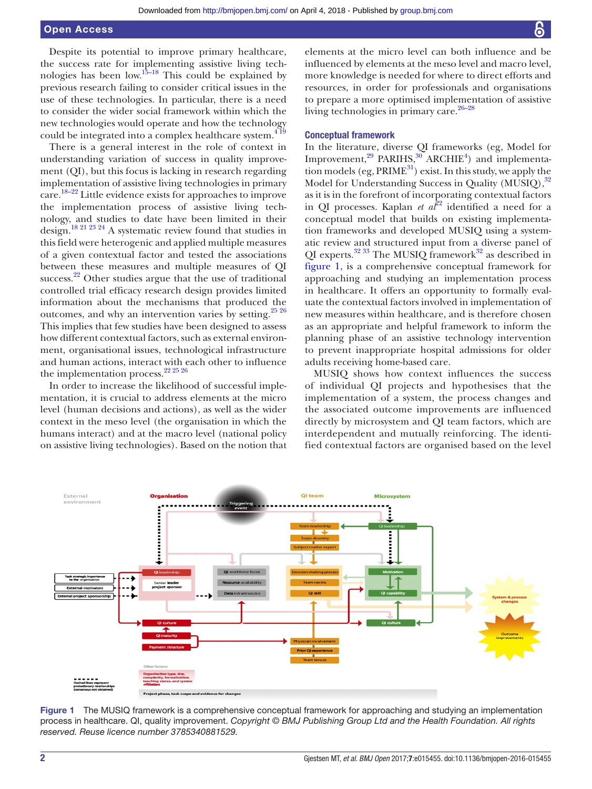Open Access

Despite its potential to improve primary healthcare, the success rate for implementing assistive living technologies has been low.[15–18](#page-8-3) This could be explained by previous research failing to consider critical issues in the use of these technologies. In particular, there is a need to consider the wider social framework within which the new technologies would operate and how the technology could be integrated into a complex healthcare system.<sup>[4 19](#page-7-3)</sup>

There is a general interest in the role of context in understanding variation of success in quality improvement (QI), but this focus is lacking in research regarding implementation of assistive living technologies in primary care[.18–22](#page-8-4) Little evidence exists for approaches to improve the implementation process of assistive living technology, and studies to date have been limited in their design[.18 21 23 24](#page-8-4) A systematic review found that studies in this field were heterogenic and applied multiple measures of a given contextual factor and tested the associations between these measures and multiple measures of QI success.<sup>22</sup> Other studies argue that the use of traditional controlled trial efficacy research design provides limited information about the mechanisms that produced the outcomes, and why an intervention varies by setting. $25\frac{25}{6}$ This implies that few studies have been designed to assess how different contextual factors, such as external environment, organisational issues, technological infrastructure and human actions, interact with each other to influence the implementation process.  $22\frac{25\frac{26}{5}}{26}$ 

In order to increase the likelihood of successful implementation, it is crucial to address elements at the micro level (human decisions and actions), as well as the wider context in the meso level (the organisation in which the humans interact) and at the macro level (national policy on assistive living technologies). Based on the notion that

elements at the micro level can both influence and be influenced by elements at the meso level and macro level, more knowledge is needed for where to direct efforts and resources, in order for professionals and organisations to prepare a more optimised implementation of assistive living technologies in primary care.<sup>26-28</sup>

#### Conceptual framework

In the literature, diverse QI frameworks (eg, Model for Improvement,<sup>29</sup> PARIHS,<sup>30</sup> ARCHIE<sup>4</sup>) and implementation models (eg,  $PRIME^{31}$  $PRIME^{31}$  $PRIME^{31}$ ) exist. In this study, we apply the Model for Understanding Success in Quality (MUSIQ),<sup>[32](#page-8-11)</sup> as it is in the forefront of incorporating contextual factors in QI processes. Kaplan *et a* $\hat{l}^2$  identified a need for a conceptual model that builds on existing implementation frameworks and developed MUSIQ using a systematic review and structured input from a diverse panel of OI experts.<sup>32</sup> <sup>33</sup> The MUSIQ framework<sup>32</sup> as described in [figure](#page-1-0) 1, is a comprehensive conceptual framework for approaching and studying an implementation process in healthcare. It offers an opportunity to formally evaluate the contextual factors involved in implementation of new measures within healthcare, and is therefore chosen as an appropriate and helpful framework to inform the planning phase of an assistive technology intervention to prevent inappropriate hospital admissions for older adults receiving home-based care.

MUSIQ shows how context influences the success of individual QI projects and hypothesises that the implementation of a system, the process changes and the associated outcome improvements are influenced directly by microsystem and QI team factors, which are interdependent and mutually reinforcing. The identified contextual factors are organised based on the level



<span id="page-1-0"></span>Figure 1 The MUSIQ framework is a comprehensive conceptual framework for approaching and studying an implementation process in healthcare. QI, quality improvement. *Copyright © BMJ Publishing Group Ltd and the Health Foundation. All rights reserved. Reuse licence number 3785340881529.*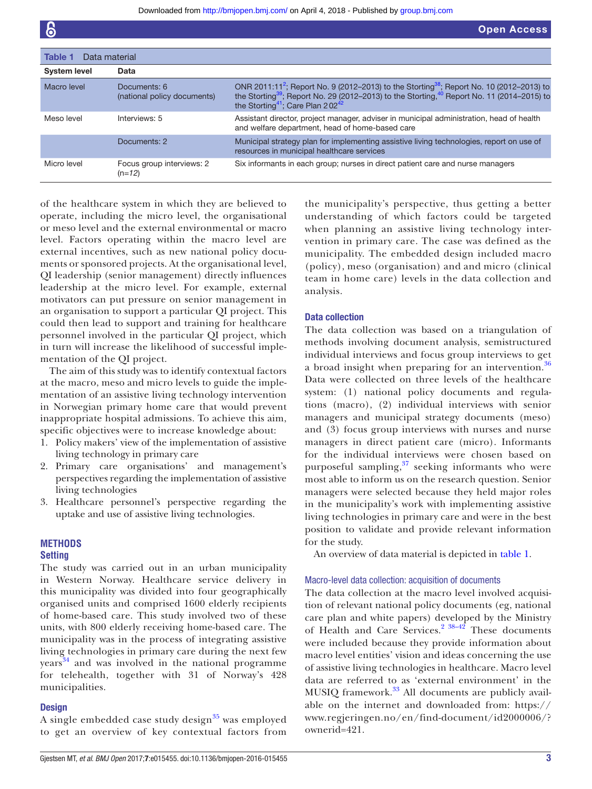<span id="page-2-0"></span>

| $\bullet$                       |                                             |                                                                                                                                                                                                                                                                                    |  |  |
|---------------------------------|---------------------------------------------|------------------------------------------------------------------------------------------------------------------------------------------------------------------------------------------------------------------------------------------------------------------------------------|--|--|
|                                 |                                             |                                                                                                                                                                                                                                                                                    |  |  |
| <b>Table 1</b><br>Data material |                                             |                                                                                                                                                                                                                                                                                    |  |  |
| <b>System level</b>             | Data                                        |                                                                                                                                                                                                                                                                                    |  |  |
| Macro level                     | Documents: 6<br>(national policy documents) | ONR 2011:11 <sup>2</sup> ; Report No. 9 (2012–2013) to the Storting <sup>38</sup> ; Report No. 10 (2012–2013) to<br>the Storting <sup>39</sup> ; Report No. 29 (2012–2013) to the Storting, $40$ Report No. 11 (2014–2015) to<br>the Storting <sup>41</sup> ; Care Plan $202^{42}$ |  |  |
| Meso level                      | Interviews: 5                               | Assistant director, project manager, adviser in municipal administration, head of health<br>and welfare department, head of home-based care                                                                                                                                        |  |  |
|                                 | Documents: 2                                | Municipal strategy plan for implementing assistive living technologies, report on use of<br>resources in municipal healthcare services                                                                                                                                             |  |  |
| Micro level                     | Focus group interviews: 2<br>$(n=12)$       | Six informants in each group; nurses in direct patient care and nurse managers                                                                                                                                                                                                     |  |  |

of the healthcare system in which they are believed to operate, including the micro level, the organisational or meso level and the external environmental or macro level. Factors operating within the macro level are external incentives, such as new national policy documents or sponsored projects. At the organisational level, QI leadership (senior management) directly influences leadership at the micro level. For example, external motivators can put pressure on senior management in an organisation to support a particular QI project. This could then lead to support and training for healthcare personnel involved in the particular QI project, which in turn will increase the likelihood of successful implementation of the QI project.

The aim of this study was to identify contextual factors at the macro, meso and micro levels to guide the implementation of an assistive living technology intervention in Norwegian primary home care that would prevent inappropriate hospital admissions. To achieve this aim, specific objectives were to increase knowledge about:

- 1. Policy makers' view of the implementation of assistive living technology in primary care
- 2. Primary care organisations' and management's perspectives regarding the implementation of assistive living technologies
- 3. Healthcare personnel's perspective regarding the uptake and use of assistive living technologies.

### **Methods**

#### **Setting**

The study was carried out in an urban municipality in Western Norway. Healthcare service delivery in this municipality was divided into four geographically organised units and comprised 1600 elderly recipients of home-based care. This study involved two of these units, with 800 elderly receiving home-based care. The municipality was in the process of integrating assistive living technologies in primary care during the next few years<sup>34</sup> and was involved in the national programme for telehealth, together with 31 of Norway's 428 municipalities.

#### **Design**

A single embedded case study design $35$  was employed to get an overview of key contextual factors from the municipality's perspective, thus getting a better understanding of which factors could be targeted when planning an assistive living technology intervention in primary care. The case was defined as the municipality. The embedded design included macro (policy), meso (organisation) and and micro (clinical team in home care) levels in the data collection and analysis.

**Open Access** 

#### Data collection

The data collection was based on a triangulation of methods involving document analysis, semistructured individual interviews and focus group interviews to get a broad insight when preparing for an intervention.<sup>[36](#page-8-19)</sup> Data were collected on three levels of the healthcare system: (1) national policy documents and regulations (macro), (2) individual interviews with senior managers and municipal strategy documents (meso) and (3) focus group interviews with nurses and nurse managers in direct patient care (micro). Informants for the individual interviews were chosen based on purposeful sampling, $37$  seeking informants who were most able to inform us on the research question. Senior managers were selected because they held major roles in the municipality's work with implementing assistive living technologies in primary care and were in the best position to validate and provide relevant information for the study.

An overview of data material is depicted in [table](#page-2-0) 1.

#### Macro-level data collection: acquisition of documents

The data collection at the macro level involved acquisition of relevant national policy documents (eg, national care plan and white papers) developed by the Ministry of Health and Care Services.<sup>2</sup> 38-42 These documents were included because they provide information about macro level entities' vision and ideas concerning the use of assistive living technologies in healthcare. Macro level data are referred to as 'external environment' in the MUSIQ framework.<sup>[33](#page-8-21)</sup> All documents are publicly available on the internet and downloaded from: [https://](https://www.regjeringen.no/en/find-document/id2000006/?ownerid=421) [www.regjeringen.no/en/find-document/id2000006/?](https://www.regjeringen.no/en/find-document/id2000006/?ownerid=421) [ownerid=421](https://www.regjeringen.no/en/find-document/id2000006/?ownerid=421).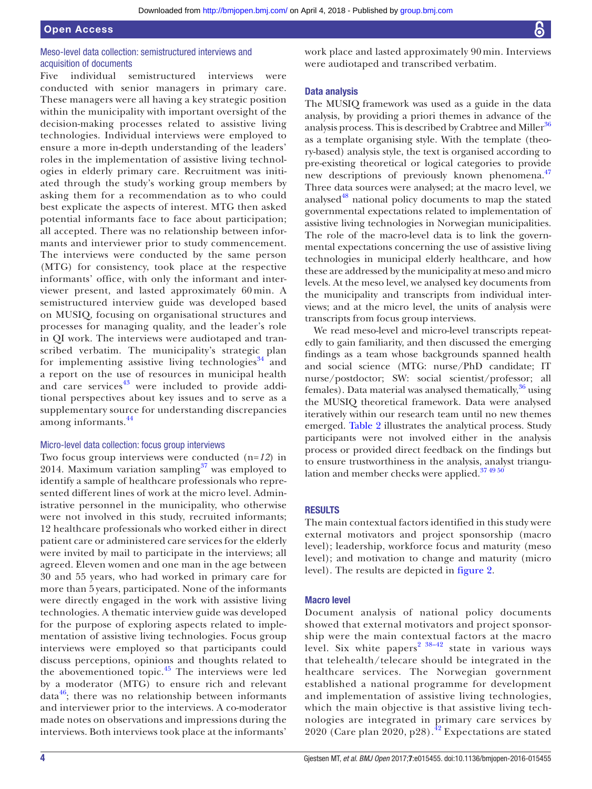#### Open Access

#### Meso-level data collection: semistructured interviews and acquisition of documents

Five individual semistructured interviews were conducted with senior managers in primary care. These managers were all having a key strategic position within the municipality with important oversight of the decision-making processes related to assistive living technologies. Individual interviews were employed to ensure a more in-depth understanding of the leaders' roles in the implementation of assistive living technologies in elderly primary care. Recruitment was initiated through the study's working group members by asking them for a recommendation as to who could best explicate the aspects of interest. MTG then asked potential informants face to face about participation; all accepted. There was no relationship between informants and interviewer prior to study commencement. The interviews were conducted by the same person (MTG) for consistency, took place at the respective informants' office, with only the informant and interviewer present, and lasted approximately 60 min. A semistructured interview guide was developed based on MUSIQ, focusing on organisational structures and processes for managing quality, and the leader's role in QI work. The interviews were audiotaped and transcribed verbatim. The municipality's strategic plan for implementing assistive living technologies<sup>34</sup> and a report on the use of resources in municipal health and care services $43$  were included to provide additional perspectives about key issues and to serve as a supplementary source for understanding discrepancies among informants.<sup>[44](#page-8-23)</sup>

#### Micro-level data collection: focus group interviews

Two focus group interviews were conducted (n=*12*) in 2014. Maximum variation sampling $37$  was employed to identify a sample of healthcare professionals who represented different lines of work at the micro level. Administrative personnel in the municipality, who otherwise were not involved in this study, recruited informants; 12 healthcare professionals who worked either in direct patient care or administered care services for the elderly were invited by mail to participate in the interviews; all agreed. Eleven women and one man in the age between 30 and 55 years, who had worked in primary care for more than 5 years, participated. None of the informants were directly engaged in the work with assistive living technologies. A thematic interview guide was developed for the purpose of exploring aspects related to implementation of assistive living technologies. Focus group interviews were employed so that participants could discuss perceptions, opinions and thoughts related to the abovementioned topic.<sup>[45](#page-8-24)</sup> The interviews were led by a moderator (MTG) to ensure rich and relevant  $data<sup>46</sup>$ ; there was no relationship between informants and interviewer prior to the interviews. A co-moderator made notes on observations and impressions during the interviews. Both interviews took place at the informants'

work place and lasted approximately 90 min. Interviews were audiotaped and transcribed verbatim.

#### Data analysis

The MUSIQ framework was used as a guide in the data analysis, by providing a priori themes in advance of the analysis process. This is described by Crabtree and Miller<sup>[36](#page-8-19)</sup> as a template organising style. With the template (theory-based) analysis style, the text is organised according to pre-existing theoretical or logical categories to provide new descriptions of previously known phenomena.<sup>[47](#page-8-26)</sup> Three data sources were analysed; at the macro level, we analysed<sup>48</sup> national policy documents to map the stated governmental expectations related to implementation of assistive living technologies in Norwegian municipalities. The role of the macro-level data is to link the governmental expectations concerning the use of assistive living technologies in municipal elderly healthcare, and how these are addressed by the municipality at meso and micro levels. At the meso level, we analysed key documents from the municipality and transcripts from individual interviews; and at the micro level, the units of analysis were transcripts from focus group interviews.

We read meso-level and micro-level transcripts repeatedly to gain familiarity, and then discussed the emerging findings as a team whose backgrounds spanned health and social science (MTG: nurse/PhD candidate; IT nurse/postdoctor; SW: social scientist/professor; all females). Data material was analysed thematically,<sup>36</sup> using the MUSIQ theoretical framework. Data were analysed iteratively within our research team until no new themes emerged. [Table](#page-4-0) 2 illustrates the analytical process. Study participants were not involved either in the analysis process or provided direct feedback on the findings but to ensure trustworthiness in the analysis, analyst triangulation and member checks were applied. $374950$ 

#### **RESULTS**

The main contextual factors identified in this study were external motivators and project sponsorship (macro level); leadership, workforce focus and maturity (meso level); and motivation to change and maturity (micro level). The results are depicted in [figure](#page-4-1) 2.

#### Macro level

Document analysis of national policy documents showed that external motivators and project sponsorship were the main contextual factors at the macro level. Six white papers<sup>2 38-42</sup> state in various ways that telehealth/telecare should be integrated in the healthcare services. The Norwegian government established a national programme for development and implementation of assistive living technologies, which the main objective is that assistive living technologies are integrated in primary care services by  $2020$  (Care plan 2020, p28).<sup>42</sup> Expectations are stated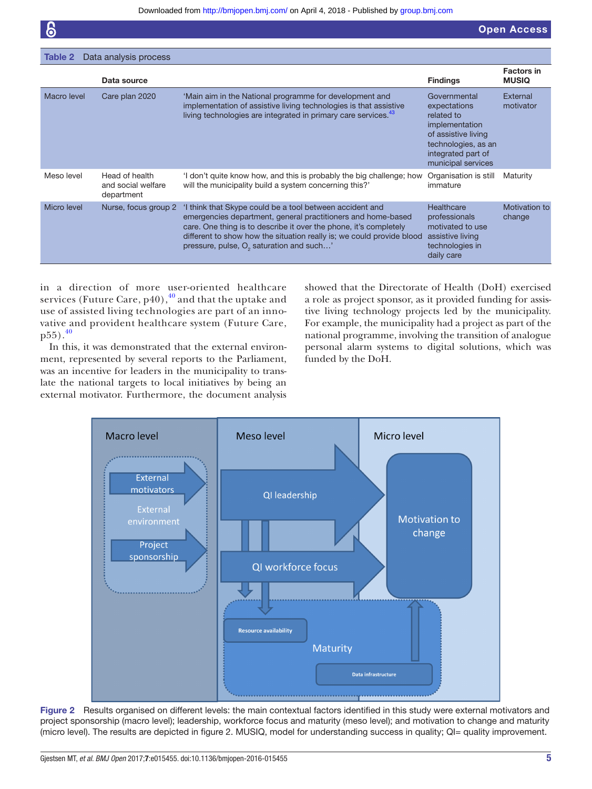<span id="page-4-0"></span>

| Data analysis process<br>Table 2 |                                                    |                                                                                                                                                                                                                                                                                                                                |                                                                                                                                                        |                                   |  |  |  |
|----------------------------------|----------------------------------------------------|--------------------------------------------------------------------------------------------------------------------------------------------------------------------------------------------------------------------------------------------------------------------------------------------------------------------------------|--------------------------------------------------------------------------------------------------------------------------------------------------------|-----------------------------------|--|--|--|
|                                  | Data source                                        |                                                                                                                                                                                                                                                                                                                                | <b>Findings</b>                                                                                                                                        | <b>Factors in</b><br><b>MUSIQ</b> |  |  |  |
| Macro level                      | Care plan 2020                                     | 'Main aim in the National programme for development and<br>implementation of assistive living technologies is that assistive<br>living technologies are integrated in primary care services. <sup>43</sup>                                                                                                                     | Governmental<br>expectations<br>related to<br>implementation<br>of assistive living<br>technologies, as an<br>integrated part of<br>municipal services | External<br>motivator             |  |  |  |
| Meso level                       | Head of health<br>and social welfare<br>department | 'I don't quite know how, and this is probably the big challenge; how<br>will the municipality build a system concerning this?'                                                                                                                                                                                                 | Organisation is still<br>immature                                                                                                                      | Maturity                          |  |  |  |
| Micro level                      | Nurse, focus group 2                               | 'I think that Skype could be a tool between accident and<br>emergencies department, general practitioners and home-based<br>care. One thing is to describe it over the phone, it's completely<br>different to show how the situation really is; we could provide blood<br>pressure, pulse, O <sub>2</sub> saturation and such' | Healthcare<br>professionals<br>motivated to use<br>assistive living<br>technologies in<br>daily care                                                   | Motivation to<br>change           |  |  |  |

in a direction of more user-oriented healthcare services (Future Care,  $p40$ ), $^{40}$  and that the uptake and use of assisted living technologies are part of an innovative and provident healthcare system (Future Care,  $p55)$ .<sup>[40](#page-8-14)</sup>

In this, it was demonstrated that the external environment, represented by several reports to the Parliament, was an incentive for leaders in the municipality to translate the national targets to local initiatives by being an external motivator. Furthermore, the document analysis

showed that the Directorate of Health (DoH) exercised a role as project sponsor, as it provided funding for assistive living technology projects led by the municipality. For example, the municipality had a project as part of the national programme, involving the transition of analogue personal alarm systems to digital solutions, which was funded by the DoH.



<span id="page-4-1"></span>Figure 2 Results organised on different levels: the main contextual factors identified in this study were external motivators and project sponsorship (macro level); leadership, workforce focus and maturity (meso level); and motivation to change and maturity (micro level). The results are depicted in figure 2. MUSIQ, model for understanding success in quality; QI= quality improvement.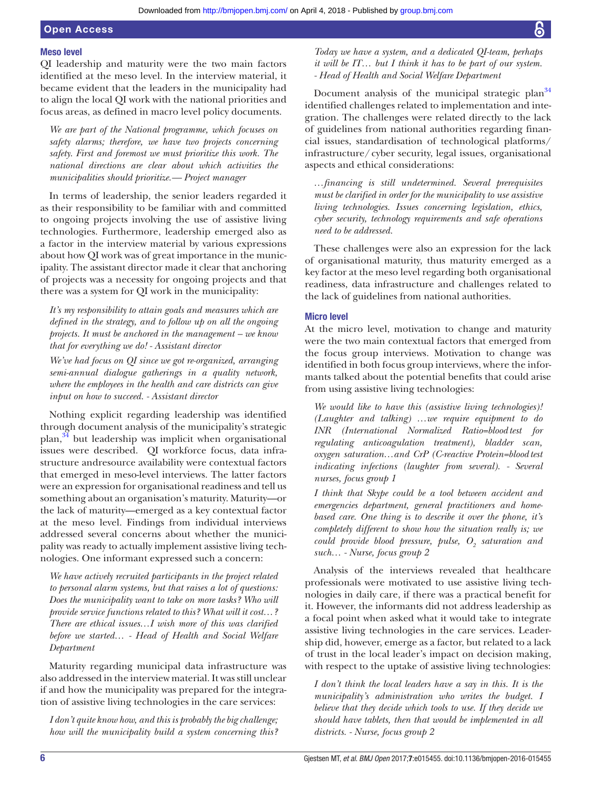### Open Access

#### Meso level

QI leadership and maturity were the two main factors identified at the meso level. In the interview material, it became evident that the leaders in the municipality had to align the local QI work with the national priorities and focus areas, as defined in macro level policy documents.

*We are part of the National programme, which focuses on safety alarms; therefore, we have two projects concerning safety. First and foremost we must prioritize this work. The national directions are clear about which activities the municipalities should prioritize.— Project manager*

In terms of leadership, the senior leaders regarded it as their responsibility to be familiar with and committed to ongoing projects involving the use of assistive living technologies. Furthermore, leadership emerged also as a factor in the interview material by various expressions about how QI work was of great importance in the municipality. The assistant director made it clear that anchoring of projects was a necessity for ongoing projects and that there was a system for QI work in the municipality:

*It's my responsibility to attain goals and measures which are defined in the strategy, and to follow up on all the ongoing projects. It must be anchored in the management – we know that for everything we do! - Assistant director*

*We've had focus on QI since we got re-organized, arranging semi-annual dialogue gatherings in a quality network, where the employees in the health and care districts can give input on how to succeed. - Assistant director*

Nothing explicit regarding leadership was identified through document analysis of the municipality's strategic plan[,34](#page-8-17) but leadership was implicit when organisational issues were described. QI workforce focus, data infrastructure andresource availability were contextual factors that emerged in meso-level interviews. The latter factors were an expression for organisational readiness and tell us something about an organisation's maturity. Maturity—or the lack of maturity—emerged as a key contextual factor at the meso level. Findings from individual interviews addressed several concerns about whether the municipality was ready to actually implement assistive living technologies. One informant expressed such a concern:

*We have actively recruited participants in the project related to personal alarm systems, but that raises a lot of questions: Does the municipality want to take on more tasks? Who will provide service functions related to this? What will it cost…? There are ethical issues…I wish more of this was clarified before we started… - Head of Health and Social Welfare Department*

Maturity regarding municipal data infrastructure was also addressed in the interview material. It was still unclear if and how the municipality was prepared for the integration of assistive living technologies in the care services:

*I don't quite know how, and this is probably the big challenge; how will the municipality build a system concerning this?* 

*Today we have a system, and a dedicated QI-team, perhaps it will be IT… but I think it has to be part of our system. - Head of Health and Social Welfare Department*

Document analysis of the municipal strategic plan<sup>[34](#page-8-17)</sup> identified challenges related to implementation and integration. The challenges were related directly to the lack of guidelines from national authorities regarding financial issues, standardisation of technological platforms/ infrastructure/cyber security, legal issues, organisational aspects and ethical considerations:

*…financing is still undetermined. Several prerequisites must be clarified in order for the municipality to use assistive living technologies. Issues concerning legislation, ethics, cyber security, technology requirements and safe operations need to be addressed.*

These challenges were also an expression for the lack of organisational maturity, thus maturity emerged as a key factor at the meso level regarding both organisational readiness, data infrastructure and challenges related to the lack of guidelines from national authorities.

#### Micro level

At the micro level, motivation to change and maturity were the two main contextual factors that emerged from the focus group interviews. Motivation to change was identified in both focus group interviews, where the informants talked about the potential benefits that could arise from using assistive living technologies:

*We would like to have this (assistive living technologies)! (Laughter and talking) …we require equipment to do INR (International Normalized Ratio=blood test for regulating anticoagulation treatment), bladder scan, oxygen saturation…and CrP (C-reactive Protein=bloodtest indicating infections (laughter from several). - Several nurses, focus group 1*

*I think that Skype could be a tool between accident and emergencies department, general practitioners and homebased care. One thing is to describe it over the phone, it's completely different to show how the situation really is; we*   $\emph{could provide blood pressure, pulse, O$_{2}$ saturation and}$ *such… - Nurse, focus group 2*

Analysis of the interviews revealed that healthcare professionals were motivated to use assistive living technologies in daily care, if there was a practical benefit for it. However, the informants did not address leadership as a focal point when asked what it would take to integrate assistive living technologies in the care services. Leadership did, however, emerge as a factor, but related to a lack of trust in the local leader's impact on decision making, with respect to the uptake of assistive living technologies:

*I don't think the local leaders have a say in this. It is the municipality's administration who writes the budget. I believe that they decide which tools to use. If they decide we should have tablets, then that would be implemented in all districts. - Nurse, focus group 2*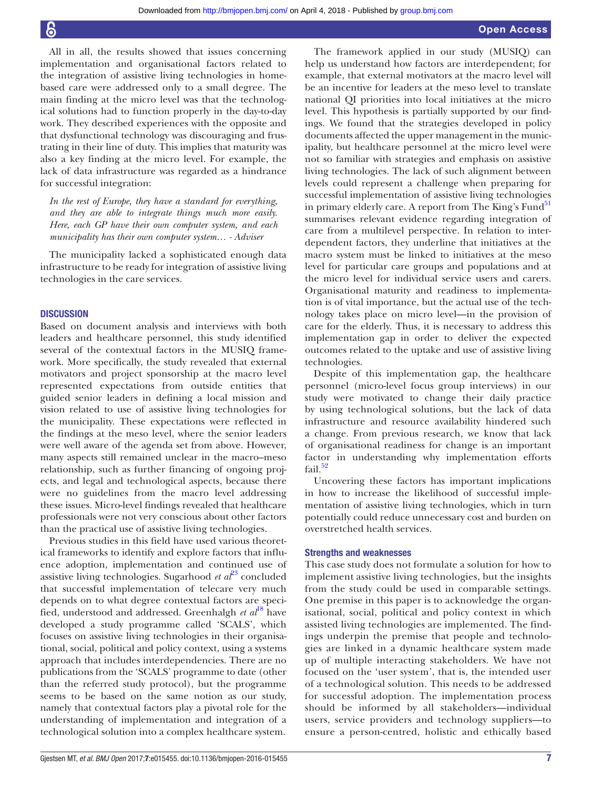All in all, the results showed that issues concerning implementation and organisational factors related to the integration of assistive living technologies in homebased care were addressed only to a small degree. The main finding at the micro level was that the technological solutions had to function properly in the day-to-day work. They described experiences with the opposite and that dysfunctional technology was discouraging and frustrating in their line of duty. This implies that maturity was also a key finding at the micro level. For example, the lack of data infrastructure was regarded as a hindrance for successful integration:

*In the rest of Europe, they have a standard for everything, and they are able to integrate things much more easily. Here, each GP have their own computer system, and each municipality has their own computer system… - Adviser*

The municipality lacked a sophisticated enough data infrastructure to be ready for integration of assistive living technologies in the care services.

#### **DISCUSSION**

Based on document analysis and interviews with both leaders and healthcare personnel, this study identified several of the contextual factors in the MUSIQ framework. More specifically, the study revealed that external motivators and project sponsorship at the macro level represented expectations from outside entities that guided senior leaders in defining a local mission and vision related to use of assistive living technologies for the municipality. These expectations were reflected in the findings at the meso level, where the senior leaders were well aware of the agenda set from above. However, many aspects still remained unclear in the macro–meso relationship, such as further financing of ongoing projects, and legal and technological aspects, because there were no guidelines from the macro level addressing these issues. Micro-level findings revealed that healthcare professionals were not very conscious about other factors than the practical use of assistive living technologies.

Previous studies in this field have used various theoretical frameworks to identify and explore factors that influence adoption, implementation and continued use of assistive living technologies. Sugarhood *et al*<sup>[23](#page-8-28)</sup> concluded that successful implementation of telecare very much depends on to what degree contextual factors are specified, understood and addressed. Greenhalgh *et al*[18](#page-8-4) have developed a study programme called 'SCALS', which focuses on assistive living technologies in their organisational, social, political and policy context, using a systems approach that includes interdependencies. There are no publications from the 'SCALS' programme to date (other than the referred study protocol), but the programme seems to be based on the same notion as our study, namely that contextual factors play a pivotal role for the understanding of implementation and integration of a technological solution into a complex healthcare system.

The framework applied in our study (MUSIQ) can help us understand how factors are interdependent; for example, that external motivators at the macro level will be an incentive for leaders at the meso level to translate national QI priorities into local initiatives at the micro level. This hypothesis is partially supported by our findings. We found that the strategies developed in policy documents affected the upper management in the municipality, but healthcare personnel at the micro level were not so familiar with strategies and emphasis on assistive living technologies. The lack of such alignment between levels could represent a challenge when preparing for successful implementation of assistive living technologies in primary elderly care. A report from The King's Fund $^{51}$  $^{51}$  $^{51}$ summarises relevant evidence regarding integration of care from a multilevel perspective. In relation to interdependent factors, they underline that initiatives at the macro system must be linked to initiatives at the meso level for particular care groups and populations and at the micro level for individual service users and carers. Organisational maturity and readiness to implementation is of vital importance, but the actual use of the technology takes place on micro level—in the provision of care for the elderly. Thus, it is necessary to address this implementation gap in order to deliver the expected outcomes related to the uptake and use of assistive living technologies.

Despite of this implementation gap, the healthcare personnel (micro-level focus group interviews) in our study were motivated to change their daily practice by using technological solutions, but the lack of data infrastructure and resource availability hindered such a change. From previous research, we know that lack of organisational readiness for change is an important factor in understanding why implementation efforts fail. $52$ 

Uncovering these factors has important implications in how to increase the likelihood of successful implementation of assistive living technologies, which in turn potentially could reduce unnecessary cost and burden on overstretched health services.

#### Strengths and weaknesses

This case study does not formulate a solution for how to implement assistive living technologies, but the insights from the study could be used in comparable settings. One premise in this paper is to acknowledge the organisational, social, political and policy context in which assisted living technologies are implemented. The findings underpin the premise that people and technologies are linked in a dynamic healthcare system made up of multiple interacting stakeholders. We have not focused on the 'user system', that is, the intended user of a technological solution. This needs to be addressed for successful adoption. The implementation process should be informed by all stakeholders—individual users, service providers and technology suppliers—to ensure a person-centred, holistic and ethically based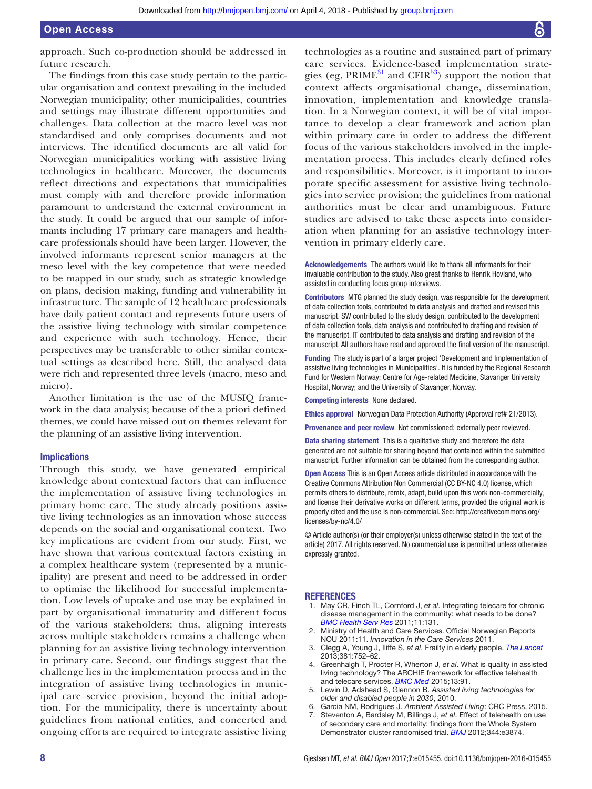approach. Such co-production should be addressed in future research.

The findings from this case study pertain to the particular organisation and context prevailing in the included Norwegian municipality; other municipalities, countries and settings may illustrate different opportunities and challenges. Data collection at the macro level was not standardised and only comprises documents and not interviews. The identified documents are all valid for Norwegian municipalities working with assistive living technologies in healthcare. Moreover, the documents reflect directions and expectations that municipalities must comply with and therefore provide information paramount to understand the external environment in the study. It could be argued that our sample of informants including 17 primary care managers and healthcare professionals should have been larger. However, the involved informants represent senior managers at the meso level with the key competence that were needed to be mapped in our study, such as strategic knowledge on plans, decision making, funding and vulnerability in infrastructure. The sample of 12 healthcare professionals have daily patient contact and represents future users of the assistive living technology with similar competence and experience with such technology. Hence, their perspectives may be transferable to other similar contextual settings as described here. Still, the analysed data were rich and represented three levels (macro, meso and micro).

Another limitation is the use of the MUSIQ framework in the data analysis; because of the a priori defined themes, we could have missed out on themes relevant for the planning of an assistive living intervention.

#### Implications

Through this study, we have generated empirical knowledge about contextual factors that can influence the implementation of assistive living technologies in primary home care. The study already positions assistive living technologies as an innovation whose success depends on the social and organisational context. Two key implications are evident from our study. First, we have shown that various contextual factors existing in a complex healthcare system (represented by a municipality) are present and need to be addressed in order to optimise the likelihood for successful implementation. Low levels of uptake and use may be explained in part by organisational immaturity and different focus of the various stakeholders; thus, aligning interests across multiple stakeholders remains a challenge when planning for an assistive living technology intervention in primary care. Second, our findings suggest that the challenge lies in the implementation process and in the integration of assistive living technologies in municipal care service provision, beyond the initial adoption. For the municipality, there is uncertainty about guidelines from national entities, and concerted and ongoing efforts are required to integrate assistive living

technologies as a routine and sustained part of primary care services. Evidence-based implementation strategies (eg,  $PRIME^{31}$  $PRIME^{31}$  $PRIME^{31}$  and  $CFIR^{53}$ ) support the notion that context affects organisational change, dissemination, innovation, implementation and knowledge translation. In a Norwegian context, it will be of vital importance to develop a clear framework and action plan within primary care in order to address the different focus of the various stakeholders involved in the implementation process. This includes clearly defined roles and responsibilities. Moreover, is it important to incorporate specific assessment for assistive living technologies into service provision; the guidelines from national authorities must be clear and unambiguous. Future studies are advised to take these aspects into consideration when planning for an assistive technology intervention in primary elderly care.

Acknowledgements The authors would like to thank all informants for their invaluable contribution to the study. Also great thanks to Henrik Hovland, who assisted in conducting focus group interviews.

Contributors MTG planned the study design, was responsible for the development of data collection tools, contributed to data analysis and drafted and revised this manuscript. SW contributed to the study design, contributed to the development of data collection tools, data analysis and contributed to drafting and revision of the manuscript. IT contributed to data analysis and drafting and revision of the manuscript. All authors have read and approved the final version of the manuscript.

Funding The study is part of a larger project 'Development and Implementation of assistive living technologies in Municipalities'. It is funded by the Regional Research Fund for Western Norway; Centre for Age-related Medicine, Stavanger University Hospital, Norway; and the University of Stavanger, Norway.

Competing interests None declared.

Ethics approval Norwegian Data Protection Authority (Approval ref# 21/2013).

Provenance and peer review Not commissioned; externally peer reviewed.

Data sharing statement This is a qualitative study and therefore the data generated are not suitable for sharing beyond that contained within the submitted manuscript. Further information can be obtained from the corresponding author.

Open Access This is an Open Access article distributed in accordance with the Creative Commons Attribution Non Commercial (CC BY-NC 4.0) license, which permits others to distribute, remix, adapt, build upon this work non-commercially, and license their derivative works on different terms, provided the original work is properly cited and the use is non-commercial. See: [http://creativecommons.org/](http://creativecommons.org/licenses/by-nc/4.0/) [licenses/by-nc/4.0/](http://creativecommons.org/licenses/by-nc/4.0/)

© Article author(s) (or their employer(s) unless otherwise stated in the text of the article) 2017. All rights reserved. No commercial use is permitted unless otherwise expressly granted.

#### **REFERENCES**

- <span id="page-7-0"></span>1. May CR, Finch TL, Cornford J, *et al*. Integrating telecare for chronic disease management in the community: what needs to be done? *[BMC Health Serv Res](http://dx.doi.org/10.1186/1472-6963-11-131)* 2011;11:131.
- <span id="page-7-4"></span>2. Ministry of Health and Care Services. Official Norwegian Reports NOU 2011:11. *Innovation in the Care Services* 2011.
- 3. Clegg A, Young J, Iliffe S, *et al*. Frailty in elderly people. *[The Lancet](http://dx.doi.org/10.1016/S0140-6736(12)62167-9)* 2013;381:752–62.
- <span id="page-7-3"></span>4. Greenhalgh T, Procter R, Wherton J, *et al*. What is quality in assisted living technology? The ARCHIE framework for effective telehealth and telecare services. *[BMC Med](http://dx.doi.org/10.1186/s12916-015-0279-6)* 2015;13:91.
- <span id="page-7-1"></span>5. Lewin D, Adshead S, Glennon B. *Assisted living technologies for older and disabled people in 2030*, 2010.
- <span id="page-7-2"></span>6. Garcia NM, Rodrigues J. *Ambient Assisted Living*: CRC Press, 2015.
- 7. Steventon A, Bardsley M, Billings J, *et al*. Effect of telehealth on use of secondary care and mortality: findings from the Whole System Demonstrator cluster randomised trial. *[BMJ](http://dx.doi.org/10.1136/bmj.e3874)* 2012;344:e3874.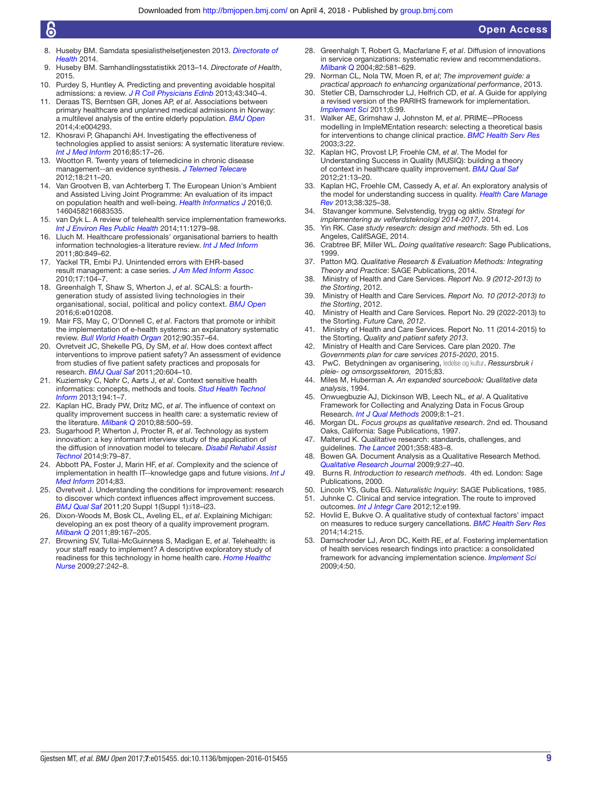- <span id="page-8-0"></span>8. Huseby BM. Samdata spesialisthelsetjenesten 2013. *Directorate of Health* 2014.
- 9. Huseby BM. Samhandlingsstatistikk 2013–14. *Directorate of Health*, 2015.
- <span id="page-8-1"></span>10. Purdey S, Huntley A. Predicting and preventing avoidable hospital admissions: a review. *[J R Coll Physicians Edinb](http://dx.doi.org/10.4997/JRCPE.2013.312)* 2013;43:340–4.
- 11. Deraas TS, Berntsen GR, Jones AP, *et al*. Associations between primary healthcare and unplanned medical admissions in Norway: a multilevel analysis of the entire elderly population. *[BMJ Open](http://dx.doi.org/10.1136/bmjopen-2013-004293)* 2014;4:e004293.
- <span id="page-8-2"></span>12. Khosravi P, Ghapanchi AH. Investigating the effectiveness of technologies applied to assist seniors: A systematic literature review. *[Int J Med Inform](http://dx.doi.org/10.1016/j.ijmedinf.2015.05.014)* 2016;85:17–26.
- 13. Wootton R. Twenty years of telemedicine in chronic disease management--an evidence synthesis. *[J Telemed Telecare](http://dx.doi.org/10.1258/jtt.2012.120219)* 2012;18:211–20.
- 14. Van Grootven B, van Achterberg T. The European Union's Ambient and Assisted Living Joint Programme: An evaluation of its impact on population health and well-being. *[Health Informatics J](http://dx.doi.org/10.1177/1460458216683535)* 2016;0. 1460458216683535.
- <span id="page-8-3"></span>15. van Dyk L. A review of telehealth service implementation frameworks. *[Int J Environ Res Public Health](http://dx.doi.org/10.3390/ijerph110201279)* 2014;11:1279–98.
- 16. Lluch M. Healthcare professionals' organisational barriers to health information technologies-a literature review. *[Int J Med Inform](http://dx.doi.org/10.1016/j.ijmedinf.2011.09.005)* 2011;80:849–62.
- 17. Yackel TR, Embi PJ. Unintended errors with EHR-based result management: a case series. *[J Am Med Inform Assoc](http://dx.doi.org/10.1197/jamia.M3294)* 2010;17:104–7.
- <span id="page-8-4"></span>18. Greenhalgh T, Shaw S, Wherton J, *et al*. SCALS: a fourthgeneration study of assisted living technologies in their organisational, social, political and policy context. *[BMJ Open](http://dx.doi.org/10.1136/bmjopen-2015-010208)* 2016;6:e010208.
- 19. Mair FS, May C, O'Donnell C, *et al*. Factors that promote or inhibit the implementation of e-health systems: an explanatory systematic review. *[Bull World Health Organ](http://dx.doi.org/10.2471/BLT.11.099424)* 2012;90:357–64.
- 20. Ovretveit JC, Shekelle PG, Dy SM, *et al*. How does context affect interventions to improve patient safety? An assessment of evidence from studies of five patient safety practices and proposals for research. *[BMJ Qual Saf](http://dx.doi.org/10.1136/bmjqs.2010.047035)* 2011;20:604–10.
- 21. Kuziemsky C, Nøhr C, Aarts J, *et al*. Context sensitive health informatics: concepts, methods and tools. *Stud Health Technol Inform* 2013;194:1–7.
- <span id="page-8-5"></span>22. Kaplan HC, Brady PW, Dritz MC, *et al*. The influence of context on quality improvement success in health care: a systematic review of the literature. *[Milbank Q](http://dx.doi.org/10.1111/j.1468-0009.2010.00611.x)* 2010;88:500–59.
- <span id="page-8-28"></span>23. Sugarhood P, Wherton J, Procter R, *et al*. Technology as system innovation: a key informant interview study of the application of the diffusion of innovation model to telecare. *[Disabil Rehabil Assist](http://dx.doi.org/10.3109/17483107.2013.823573)  [Technol](http://dx.doi.org/10.3109/17483107.2013.823573)* 2014;9:79–87.
- 24. Abbott PA, Foster J, Marin HF, *et al*. Complexity and the science of implementation in health IT--knowledge gaps and future visions. *[Int J](http://dx.doi.org/10.1016/j.ijmedinf.2013.10.009)  [Med Inform](http://dx.doi.org/10.1016/j.ijmedinf.2013.10.009)* 2014;83.
- <span id="page-8-6"></span>25. Øvretveit J. Understanding the conditions for improvement: research to discover which context influences affect improvement success. *[BMJ Qual Saf](http://dx.doi.org/10.1136/bmjqs.2010.045955)* 2011;20 Suppl 1(Suppl 1):i18–i23.
- <span id="page-8-7"></span>26. Dixon-Woods M, Bosk CL, Aveling EL, *et al*. Explaining Michigan: developing an ex post theory of a quality improvement program. *[Milbank Q](http://dx.doi.org/10.1111/j.1468-0009.2011.00625.x)* 2011;89:167–205.
- 27. Browning SV, Tullai-McGuinness S, Madigan E, *et al*. Telehealth: is your staff ready to implement? A descriptive exploratory study of readiness for this technology in home health care. *[Home Healthc](http://dx.doi.org/10.1097/01.NHH.0000349911.12860.f2)  [Nurse](http://dx.doi.org/10.1097/01.NHH.0000349911.12860.f2)* 2009;27:242–8.
- 28. Greenhalgh T, Robert G, Macfarlane F, *et al*. Diffusion of innovations in service organizations: systematic review and recommendations. *[Milbank Q](http://dx.doi.org/10.1111/j.0887-378X.2004.00325.x)* 2004;82:581–629.
- <span id="page-8-8"></span>29. Norman CL, Nola TW, Moen R, *et al*; *The improvement guide: a practical approach to enhancing organizational performance*, 2013.
- <span id="page-8-9"></span>30. Stetler CB, Damschroder LJ, Helfrich CD, *et al*. A Guide for applying a revised version of the PARIHS framework for implementation. *[Implement Sci](http://dx.doi.org/10.1186/1748-5908-6-99)* 2011;6:99.
- <span id="page-8-10"></span>31. Walker AE, Grimshaw J, Johnston M, *et al*. PRIME--PRocess modelling in ImpleMEntation research: selecting a theoretical basis for interventions to change clinical practice. *[BMC Health Serv Res](http://dx.doi.org/10.1186/1472-6963-3-22)* 2003;3:22.
- <span id="page-8-11"></span>32. Kaplan HC, Provost LP, Froehle CM, *et al*. The Model for Understanding Success in Quality (MUSIQ): building a theory of context in healthcare quality improvement. *[BMJ Qual Saf](http://dx.doi.org/10.1136/bmjqs-2011-000010)* 2012;21:13–20.
- <span id="page-8-21"></span>33. Kaplan HC, Froehle CM, Cassedy A, *et al*. An exploratory analysis of the model for understanding success in quality. *[Health Care Manage](http://dx.doi.org/10.1097/HMR.0b013e3182689772)  [Rev](http://dx.doi.org/10.1097/HMR.0b013e3182689772)* 2013;38:325–38.
- <span id="page-8-17"></span>34. Stavanger kommune. Selvstendig, trygg og aktiv. *Strategi for implementering av velferdsteknologi 2014-2017*, 2014.
- <span id="page-8-18"></span>35. Yin RK. *Case study research: design and methods*. 5th ed. Los Angeles, CalifSAGE, 2014.
- <span id="page-8-19"></span>36. Crabtree BF, Miller WL. *Doing qualitative research*: Sage Publications, 1999.
- <span id="page-8-20"></span>37. Patton MQ. *Qualitative Research & Evaluation Methods: Integrating Theory and Practice*: SAGE Publications, 2014.
- <span id="page-8-12"></span>38. Ministry of Health and Care Services. *Report No. 9 (2012-2013) to the Storting*, 2012.
- <span id="page-8-13"></span>39. Ministry of Health and Care Services. *Report No. 10 (2012-2013) to the Storting*, 2012.
- <span id="page-8-14"></span>40. Ministry of Health and Care Services. Report No. 29 (2022-2013) to the Storting. *Future Care, 2012*.
- <span id="page-8-15"></span>41. Ministry of Health and Care Services. Report No. 11 (2014-2015) to the Storting. *Quality and patient safety 2013*.
- <span id="page-8-16"></span>42. Ministry of Health and Care Services. Care plan 2020. *The Governments plan for care services 2015-2020*, 2015.
- <span id="page-8-22"></span>43. PwC. Betydningen av organisering, ledelse og kultur. *Ressursbruk i pleie- og omsorgssektoren,*  2015;83.
- <span id="page-8-23"></span>44. Miles M, Huberman A. *An expanded sourcebook: Qualitative data analysis*, 1994.
- <span id="page-8-24"></span>45. Onwuegbuzie AJ, Dickinson WB, Leech NL, *et al*. A Qualitative Framework for Collecting and Analyzing Data in Focus Group Research. *[Int J Qual Methods](http://dx.doi.org/10.1177/160940690900800301)* 2009;8:1–21.
- <span id="page-8-25"></span>46. Morgan DL. *Focus groups as qualitative research*. 2nd ed. Thousand Oaks, California: Sage Publications, 1997.
- <span id="page-8-26"></span>47. Malterud K. Qualitative research: standards, challenges, and guidelines. *[The Lancet](http://dx.doi.org/10.1016/S0140-6736(01)05627-6)* 2001;358:483–8.
- <span id="page-8-27"></span>48. Bowen GA. Document Analysis as a Qualitative Research Method. *[Qualitative Research Journal](http://dx.doi.org/10.3316/QRJ0902027)* 2009;9:27–40.
- 49. Burns R. *Introduction to research methods*. 4th ed. London: Sage Publications, 2000.
- <span id="page-8-29"></span>50. Lincoln YS, Guba EG. *Naturalistic Inquiry*: SAGE Publications, 1985. 51. Juhnke C. Clinical and service integration. The route to improved
- outcomes. *[Int J Integr Care](http://dx.doi.org/10.5334/ijic.1065)* 2012;12:e199. 52. Hovlid E, Bukve O. A qualitative study of contextual factors' impact
- <span id="page-8-30"></span>on measures to reduce surgery cancellations. *[BMC Health Serv Res](http://dx.doi.org/10.1186/1472-6963-14-215)* 2014;14:215.
- <span id="page-8-31"></span>53. Damschroder LJ, Aron DC, Keith RE, *et al*. Fostering implementation of health services research findings into practice: a consolidated framework for advancing implementation science. *[Implement Sci](http://dx.doi.org/10.1186/1748-5908-4-50)* 2009;4:50.